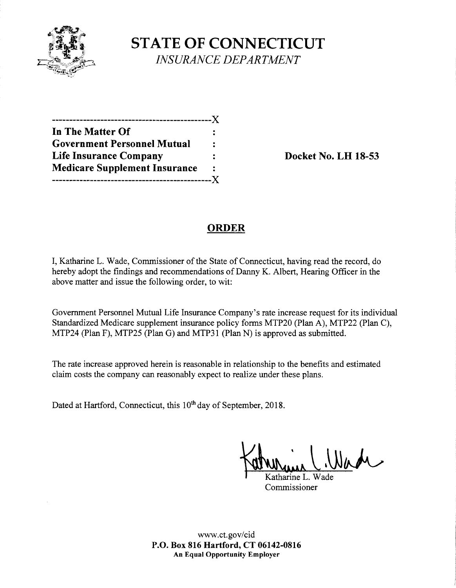

**STATE OF CONNECTICUT**  *INSURANCE DEPARTMENT* 

| ---------                            |              |
|--------------------------------------|--------------|
| In The Matter Of                     |              |
| <b>Government Personnel Mutual</b>   | ٠            |
| <b>Life Insurance Company</b>        |              |
| <b>Medicare Supplement Insurance</b> | $\ddot{ }$ . |
|                                      |              |

**Life Insurance Company Docket No. LH 18-53** 

## **ORDER**

I, Katharine L. Wade, Commissioner of the State of Connecticut, having read the record, do hereby adopt the findings and recommendations of Danny K. Albert, Hearing Officer in the above matter and issue the following order, to wit:

Government Personnel Mutual Life Insurance Company's rate increase request for its individual Standardized Medicare supplement insurance policy forms MTP20 (Plan A), MTP22 (Plan C), MTP24 (Plan F), MTP25 (Plan G) and MTP31 (Plan N) is approved as submitted.

The rate increase approved herein is reasonable in relationship to the benefits and estimated claim costs the company can reasonably expect to realize under these plans.

Dated at Hartford, Connecticut, this 10<sup>th</sup> day of September, 2018.

Katharine L. Wade

Commissioner

www.ct.gov/cid **P.O. Box 816 Hartford, CT 06142-0816 An Equal Opportunity Employer**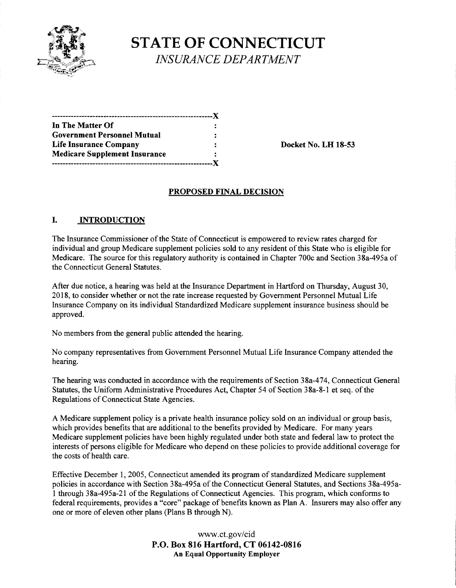

# **STATE OF CONNECTICUT**  *INSURANCE DEPARTMENT*

| ----------------                     |   |
|--------------------------------------|---|
| In The Matter Of                     |   |
| <b>Government Personnel Mutual</b>   |   |
| <b>Life Insurance Company</b>        | ÷ |
| <b>Medicare Supplement Insurance</b> | : |
|                                      |   |

**Life Insurance Company Docket No. LH 18-53** 

#### **PROPOSED FINAL DECISION**

### I. **INTRODUCTION**

The Insurance Commissioner of the State of Connecticut is empowered to review rates charged for individual and group Medicare supplement policies sold to any resident of this State who is eligible for Medicare. The source for this regulatory authority is contained in Chapter 700c and Section 38a-495a of the Connecticut General Statutes.

After due notice, a hearing was held at the Insurance Department in Hartford on Thursday, August 30, 2018, to consider whether or not the rate increase requested by Government Personnel Mutual Life Insurance Company on its individual Standardized Medicare supplement insurance business should be approved.

No members from the general public attended the hearing.

No company representatives from Government Personnel Mutual Life Insurance Company attended the hearing.

The hearing was conducted in accordance with the requirements of Section 38a-474, Connecticut General Statutes, the Uniform Administrative Procedures Act, Chapter 54 of Section 38a-8-1 et seq. of the Regulations of Connecticut State Agencies.

A Medicare supplement policy is a private health insurance policy sold on an individual or group basis, which provides benefits that are additional to the benefits provided by Medicare. For many years Medicare supplement policies have been highly regulated under both state and federal law to protect the interests of persons eligible for Medicare who depend on these policies to provide additional coverage for the costs of health care.

Effective December 1, 2005, Connecticut amended its program of standardized Medicare supplement policies in accordance with Section 38a-495a of the Connecticut General Statutes, and Sections 38a-495a-1 through 38a-495a-21 of the Regulations of Connecticut Agencies. This program, which conforms to federal requirements, provides a "core" package of benefits known as Plan A. Insurers may also offer any one or more of eleven other plans (Plans B through N).

> www.ct.gov/cid **P.O. Box 816 Hartford, CT 06142-0816 An Equal Opportunity Employer**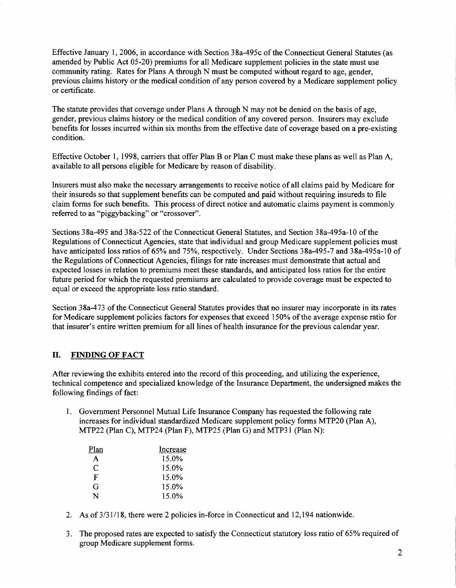Effective January 1, 2006, in accordance with Section 38a-495c of the Connecticut General Statutes (as amended by Public Act 05-20) premiums for all Medicare supplement policies in the state must use community rating. Rates for Plans A through N must be computed without regard to age, gender, previous claims history or the medical condition of any person covered by a Medicare supplement policy or certificate.

The statute provides that coverage under Plans A through N may not be denied on the basis of age, gender, previous claims history or the medical condition of any covered person. Insurers may exclude benefits for losses incurred within six months from the effective date of coverage based on a pre-existing condition.

Effective October 1, 1998, carriers that offer Plan B or Plan C must make these plans as well as Plan A, available to all persons eligible for Medicare by reason of disability.

Insurers must also make the necessary arrangements to receive notice of all claims paid by Medicare for their insureds so that supplement benefits can be computed and paid without requiring insureds to file claim forms for such benefits. This process of direct notice and automatic claims payment is commonly referred to as "piggybacking" or "crossover".

Sections 38a-495 and 38a-522 of the Connecticut General Statutes, and Section 38a-495a-10 of the Regulations of Connecticut Agencies, state that individual and group Medicare supplement policies must have anticipated loss ratios of 65% and 75%, respectively. Under Sections 38a-495-7 and 38a-495a-10 of the Regulations of Connecticut Agencies, filings for rate increases must demonstrate that actual and expected losses in relation to premiums meet these standards, and anticipated loss ratios for the entire future period for which the requested premiums are calculated to provide coverage must be expected to equal or exceed the appropriate loss ratio standard.

Section 3 8a-4 73 of the Connecticut General Statutes provides that no insurer may incorporate in its rates for Medicare supplement policies factors for expenses that exceed 150% of the average expense ratio for that insurer's entire written premium for all lines of health insurance for the previous calendar year.

#### II. **FINDING OF FACT**

After reviewing the exhibits entered into the record of this proceeding, and utilizing the experience, technical competence and specialized knowledge of the Insurance Department, the undersigned makes the following findings of fact:

1. Government Personnel Mutual Life Insurance Company has requested the following rate increases for individual standardized Medicare supplement policy forms MTP20 (Plan A), MTP22 (Plan C), MTP24 (Plan F), MTP25 (Plan G) and MTP31 (Plan N):

| Plan | Increase |
|------|----------|
| A    | 15.0%    |
| C    | 15.0%    |
| F    | 15.0%    |
| G    | 15.0%    |
| N    | 15.0%    |

- 2. As of 3/31/18, there were 2 policies in-force in Connecticut and 12,194 nationwide.
- 3. The proposed rates are expected to satisfy the Connecticut statutory loss ratio of 65% required of group Medicare supplement forms.